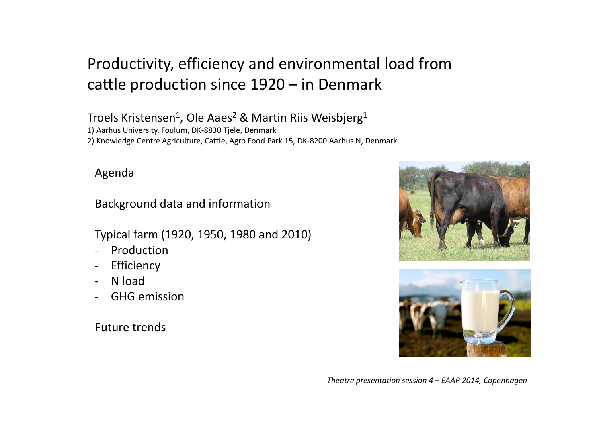# Productivity, efficiency and environmental load from cattle production since 1920 – in Denmark

Troels Kristensen<sup>1</sup>, Ole Aaes<sup>2</sup> & Martin Riis Weisbjerg<sup>1</sup>

1) Aarhus University, Foulum, DK‐8830 Tjele, Denmark

2) Knowledge Centre Agriculture, Cattle, Agro Food Park 15, DK‐8200 Aarhus N, Denmark

#### Agenda

Background data and information

Typical farm (1920, 1950, 1980 and 2010)

- $\overline{\phantom{a}}$ Production
- $\blacksquare$ Efficiency
- ‐- N load
- GHG emission

Future trends





*Theatre presentation session 4 – EAAP 2014, Copenhagen*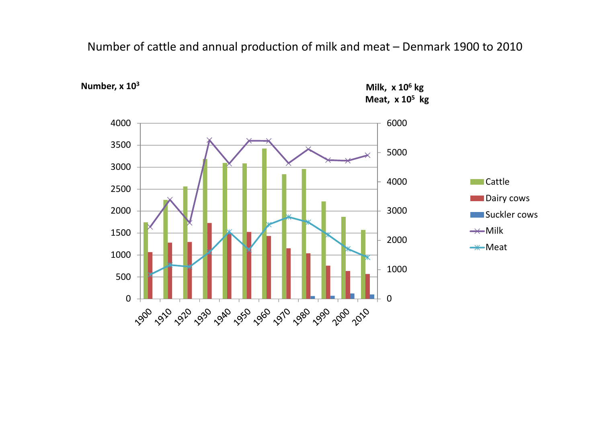Number of cattle and annual production of milk and meat – Denmark 1900 to 2010



**Number, <sup>x</sup> 10<sup>3</sup>**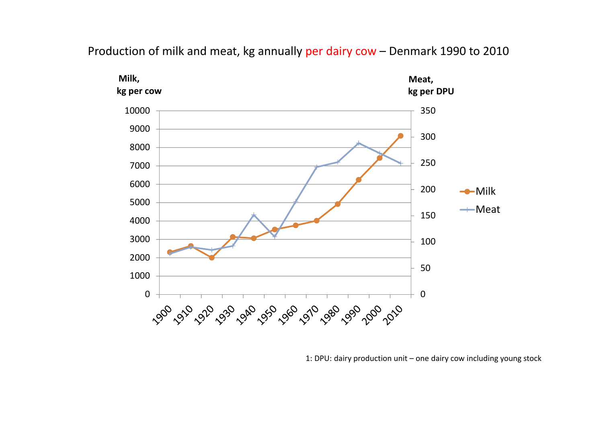#### Production of milk and meat, kg annually per dairy cow – Denmark 1990 to 2010



1: DPU: dairy production unit – one dairy cow including young stock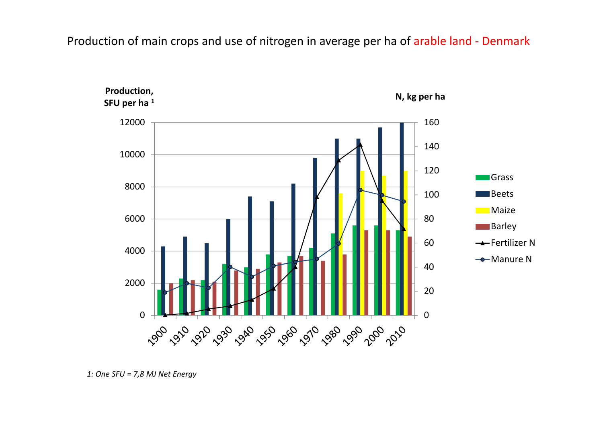#### Production of main crops and use of nitrogen in average per ha of arable land - Denmark



*<sup>1:</sup> One SFU <sup>=</sup> 7,8 MJ Net Energy*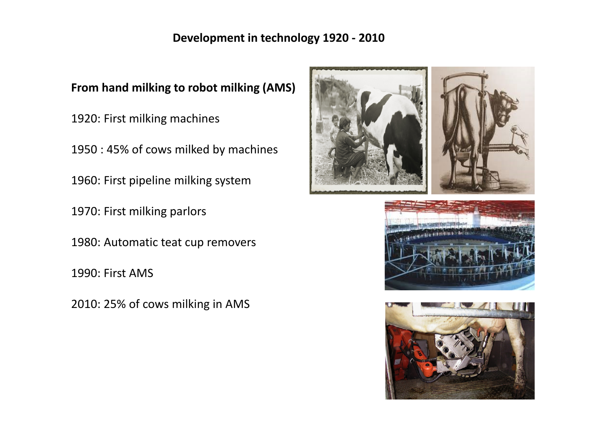#### **Development in technology 1920 ‐ 2010**

**From hand milking to robot milking (AMS)**

1920: First milking machines

1950 : 45% of cows milked by machines

1960: First pipeline milking system

1970: First milking parlors

1980: Automatic teat cup removers

1990: First AMS

2010: 25% of cows milking in AMS





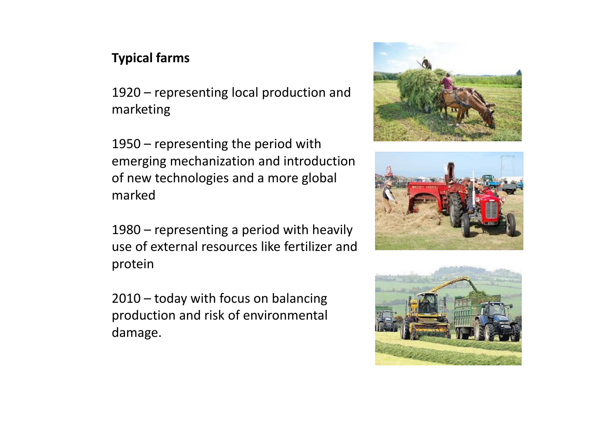## **Typical farms**

1920 – representing local production and marketing

1950 – representing the period with emerging mechanization and introduction of new technologies and <sup>a</sup> more global marked

1980 – representing <sup>a</sup> period with heavily use of external resources like fertilizer and protein

2010 – today with focus on balancing production and risk of environmental damage.





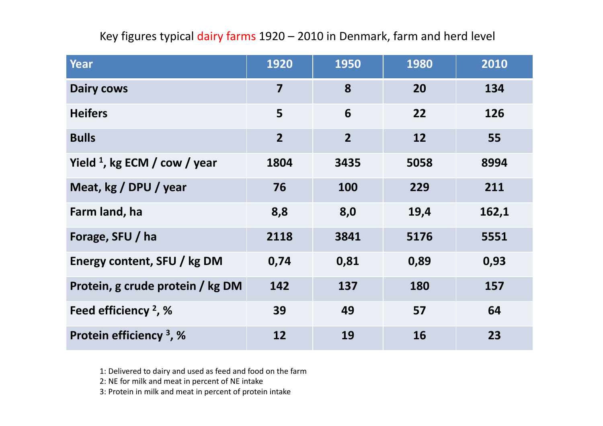### Key figures typical dairy farms 1920 – 2010 in Denmark, farm and herd level

| <b>Year</b>                               | 1920                    | 1950           | 1980 | 2010  |
|-------------------------------------------|-------------------------|----------------|------|-------|
| <b>Dairy cows</b>                         | $\overline{\mathbf{z}}$ | 8              | 20   | 134   |
| <b>Heifers</b>                            | 5                       | 6              | 22   | 126   |
| <b>Bulls</b>                              | $\overline{2}$          | $\overline{2}$ | 12   | 55    |
| Yield $\frac{1}{2}$ , kg ECM / cow / year | 1804                    | 3435           | 5058 | 8994  |
| Meat, kg / DPU / year                     | 76                      | 100            | 229  | 211   |
| Farm land, ha                             | 8,8                     | 8,0            | 19,4 | 162,1 |
| Forage, SFU / ha                          | 2118                    | 3841           | 5176 | 5551  |
| Energy content, SFU / kg DM               | 0,74                    | 0,81           | 0,89 | 0,93  |
| Protein, g crude protein / kg DM          | 142                     | 137            | 180  | 157   |
| Feed efficiency $2$ , %                   | 39                      | 49             | 57   | 64    |
| Protein efficiency <sup>3</sup> , %       | 12                      | 19             | 16   | 23    |

1: Delivered to dairy and used as feed and food on the farm

2: NE for milk and meat in percent of NE intake

3: Protein in milk and meat in percent of protein intake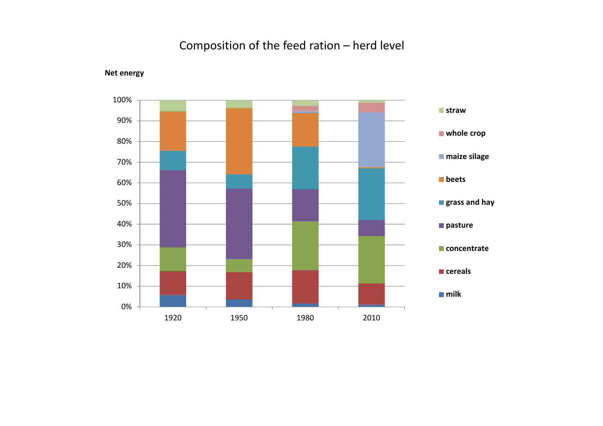### Composition of the feed ration – herd level



**Net energy**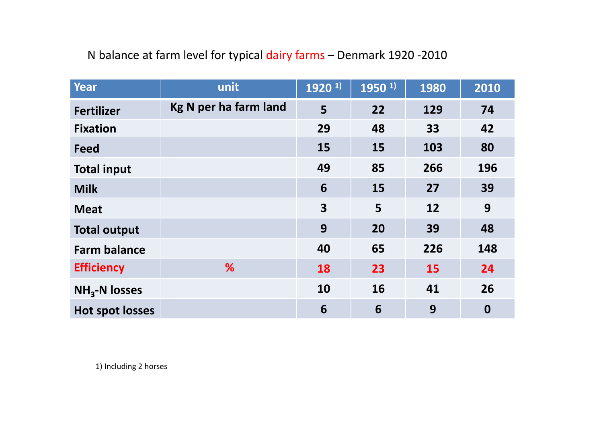#### N balance at farm level for typical dairy farms – Denmark 1920 ‐2010

| <b>Year</b>            | unit                  | 1920 <sup>1)</sup>      | $1950$ <sup>1)</sup> | 1980      | 2010             |
|------------------------|-----------------------|-------------------------|----------------------|-----------|------------------|
| <b>Fertilizer</b>      | Kg N per ha farm land | 5                       | 22                   | 129       | 74               |
| <b>Fixation</b>        |                       | 29                      | 48                   | 33        | 42               |
| <b>Feed</b>            |                       | 15                      | 15                   | 103       | 80               |
| <b>Total input</b>     |                       | 49                      | 85                   | 266       | 196              |
| <b>Milk</b>            |                       | 6                       | 15                   | 27        | 39               |
| <b>Meat</b>            |                       | $\overline{\mathbf{3}}$ | 5                    | 12        | 9                |
| <b>Total output</b>    |                       | 9                       | 20                   | 39        | 48               |
| <b>Farm balance</b>    |                       | 40                      | 65                   | 226       | 148              |
| <b>Efficiency</b>      | %                     | 18                      | 23                   | <b>15</b> | 24               |
| $NH3-N$ losses         |                       | 10                      | 16                   | 41        | 26               |
| <b>Hot spot losses</b> |                       | 6                       | 6                    | 9         | $\boldsymbol{0}$ |

1) Including 2 horses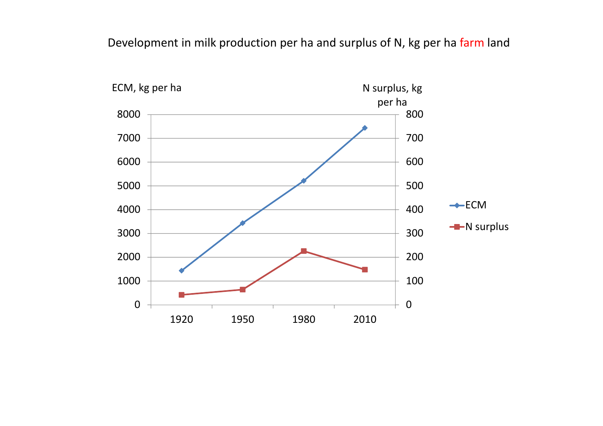#### Development in milk production per ha and surplus of N, kg per ha farm land

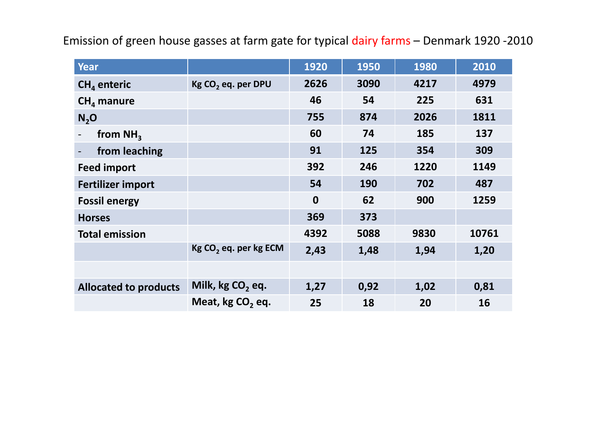| <b>Year</b>                  |                                   | 1920             | 1950 | 1980 | 2010  |
|------------------------------|-----------------------------------|------------------|------|------|-------|
| $CHa$ enteric                | Kg CO <sub>2</sub> eq. per DPU    | 2626             | 3090 | 4217 | 4979  |
| $CHa$ manure                 |                                   | 46               | 54   | 225  | 631   |
| N <sub>2</sub> O             |                                   | 755              | 874  | 2026 | 1811  |
| from $NH3$                   |                                   | 60               | 74   | 185  | 137   |
| from leaching                |                                   | 91               | 125  | 354  | 309   |
| <b>Feed import</b>           |                                   | 392              | 246  | 1220 | 1149  |
| <b>Fertilizer import</b>     |                                   | 54               | 190  | 702  | 487   |
| <b>Fossil energy</b>         |                                   | $\boldsymbol{0}$ | 62   | 900  | 1259  |
| <b>Horses</b>                |                                   | 369              | 373  |      |       |
| <b>Total emission</b>        |                                   | 4392             | 5088 | 9830 | 10761 |
|                              | Kg CO <sub>2</sub> eq. per kg ECM | 2,43             | 1,48 | 1,94 | 1,20  |
|                              |                                   |                  |      |      |       |
| <b>Allocated to products</b> | Milk, kg CO <sub>2</sub> eq.      | 1,27             | 0,92 | 1,02 | 0,81  |
|                              | Meat, kg CO <sub>2</sub> eq.      | 25               | 18   | 20   | 16    |

Emission of green house gasses at farm gate for typical dairy farms – Denmark 1920 -2010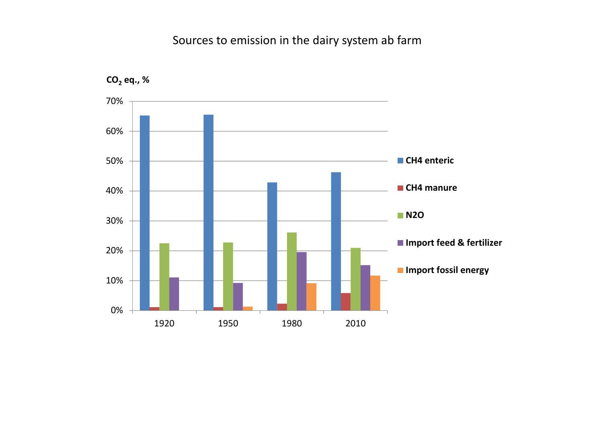#### Sources to emission in the dairy system ab farm

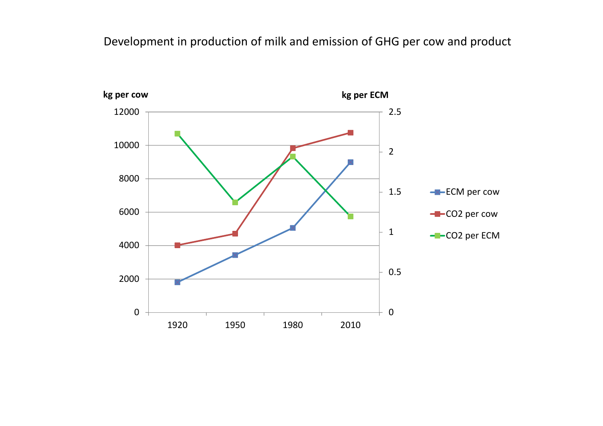#### Development in production of milk and emission of GHG per cow and product

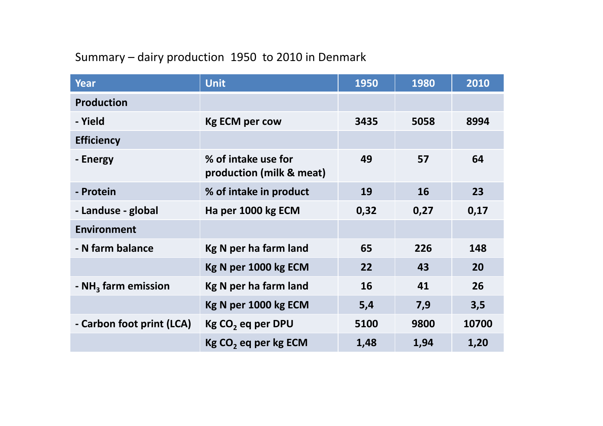# Summary – dairy production 1950 to 2010 in Denmark

| <b>Year</b>                     | <b>Unit</b>                                     | 1950 | 1980 | 2010  |
|---------------------------------|-------------------------------------------------|------|------|-------|
| <b>Production</b>               |                                                 |      |      |       |
| - Yield                         | <b>Kg ECM per cow</b>                           | 3435 | 5058 | 8994  |
| <b>Efficiency</b>               |                                                 |      |      |       |
| - Energy                        | % of intake use for<br>production (milk & meat) | 49   | 57   | 64    |
| - Protein                       | % of intake in product                          | 19   | 16   | 23    |
| - Landuse - global              | Ha per 1000 kg ECM                              | 0,32 | 0,27 | 0,17  |
| <b>Environment</b>              |                                                 |      |      |       |
| - N farm balance                | Kg N per ha farm land                           | 65   | 226  | 148   |
|                                 | Kg N per 1000 kg ECM                            | 22   | 43   | 20    |
| - NH <sub>3</sub> farm emission | Kg N per ha farm land                           | 16   | 41   | 26    |
|                                 | Kg N per 1000 kg ECM                            | 5,4  | 7,9  | 3,5   |
| - Carbon foot print (LCA)       | Kg CO <sub>2</sub> eq per DPU                   | 5100 | 9800 | 10700 |
|                                 | Kg CO <sub>2</sub> eq per kg ECM                | 1,48 | 1,94 | 1,20  |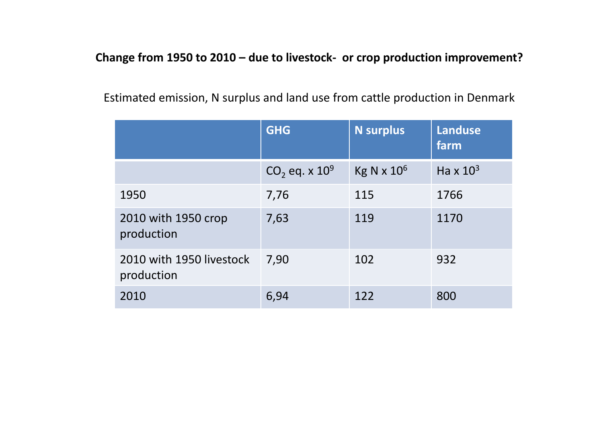#### **Change from 1950 to 2010 – due to livestock‐ or crop production improvement?**

|                                        | <b>GHG</b>          | <b>N</b> surplus              | <b>Landuse</b><br>farm      |
|----------------------------------------|---------------------|-------------------------------|-----------------------------|
|                                        | $CO_2$ eq. x $10^9$ | Kg N $\times$ 10 <sup>6</sup> | Ha $\times$ 10 <sup>3</sup> |
| 1950                                   | 7,76                | 115                           | 1766                        |
| 2010 with 1950 crop<br>production      | 7,63                | 119                           | 1170                        |
| 2010 with 1950 livestock<br>production | 7,90                | 102                           | 932                         |
| 2010                                   | 6,94                | 122                           | 800                         |

Estimated emission, N surplus and land use from cattle production in Denmark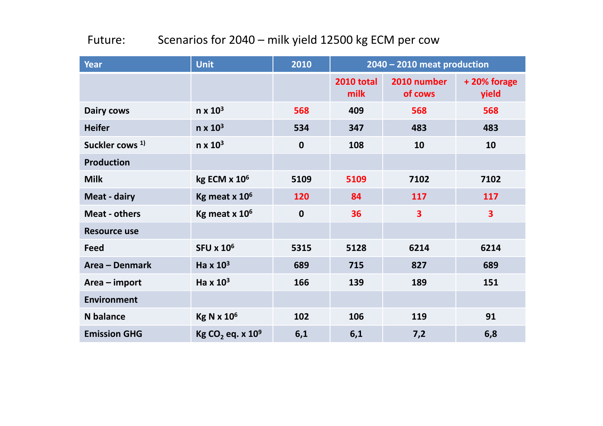#### Future:: Scenarios for 2040 – milk yield 12500 kg ECM per cow

| <b>Year</b>                | <b>Unit</b>                              | 2010        | 2040 - 2010 meat production |                         |                         |  |
|----------------------------|------------------------------------------|-------------|-----------------------------|-------------------------|-------------------------|--|
|                            |                                          |             | <b>2010 total</b><br>milk   | 2010 number<br>of cows  | +20% forage<br>yield    |  |
| <b>Dairy cows</b>          | $n \times 10^3$                          | 568         | 409                         | 568                     | 568                     |  |
| <b>Heifer</b>              | $n \times 10^3$                          | 534         | 347                         | 483                     | 483                     |  |
| Suckler cows <sup>1)</sup> | $n \times 10^3$                          | $\mathbf 0$ | 108                         | 10                      | 10                      |  |
| <b>Production</b>          |                                          |             |                             |                         |                         |  |
| <b>Milk</b>                | kg ECM x 10 <sup>6</sup>                 | 5109        | 5109                        | 7102                    | 7102                    |  |
| <b>Meat - dairy</b>        | Kg meat $x$ 10 $6$                       | 120         | 84                          | 117                     | 117                     |  |
| <b>Meat - others</b>       | Kg meat $x$ 10 $6$                       | $\mathbf 0$ | 36                          | $\overline{\mathbf{3}}$ | $\overline{\mathbf{3}}$ |  |
| <b>Resource use</b>        |                                          |             |                             |                         |                         |  |
| <b>Feed</b>                | <b>SFU x 10<sup>6</sup></b>              | 5315        | 5128                        | 6214                    | 6214                    |  |
| Area - Denmark             | Ha $\times$ 10 <sup>3</sup>              | 689         | 715                         | 827                     | 689                     |  |
| Area - import              | Ha $\times$ 10 <sup>3</sup>              | 166         | 139                         | 189                     | 151                     |  |
| <b>Environment</b>         |                                          |             |                             |                         |                         |  |
| <b>N</b> balance           | <b>Kg N x 10<sup>6</sup></b>             | 102         | 106                         | 119                     | 91                      |  |
| <b>Emission GHG</b>        | Kg CO <sub>2</sub> eq. x 10 <sup>9</sup> | 6,1         | 6,1                         | 7,2                     | 6,8                     |  |